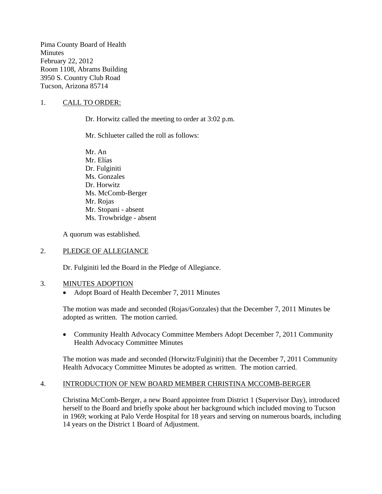Pima County Board of Health **Minutes** February 22, 2012 Room 1108, Abrams Building 3950 S. Country Club Road Tucson, Arizona 85714

### 1. CALL TO ORDER:

Dr. Horwitz called the meeting to order at 3:02 p.m.

Mr. Schlueter called the roll as follows:

Mr. An Mr. Elías Dr. Fulginiti Ms. Gonzales Dr. Horwitz Ms. McComb-Berger Mr. Rojas Mr. Stopani - absent Ms. Trowbridge - absent

A quorum was established.

#### 2. PLEDGE OF ALLEGIANCE

Dr. Fulginiti led the Board in the Pledge of Allegiance.

#### 3. MINUTES ADOPTION

• Adopt Board of Health December 7, 2011 Minutes

The motion was made and seconded (Rojas/Gonzales) that the December 7, 2011 Minutes be adopted as written. The motion carried.

• Community Health Advocacy Committee Members Adopt December 7, 2011 Community Health Advocacy Committee Minutes

The motion was made and seconded (Horwitz/Fulginiti) that the December 7, 2011 Community Health Advocacy Committee Minutes be adopted as written. The motion carried.

#### 4. INTRODUCTION OF NEW BOARD MEMBER CHRISTINA MCCOMB-BERGER

Christina McComb-Berger, a new Board appointee from District 1 (Supervisor Day), introduced herself to the Board and briefly spoke about her background which included moving to Tucson in 1969; working at Palo Verde Hospital for 18 years and serving on numerous boards, including 14 years on the District 1 Board of Adjustment.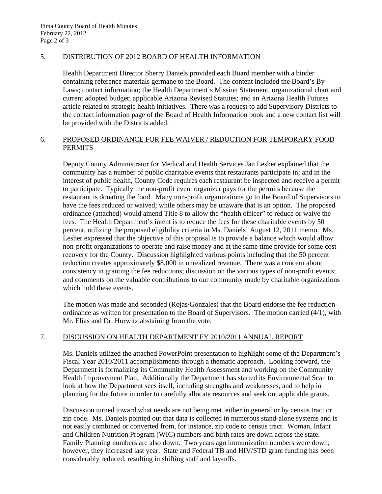### 5. DISTRIBUTION OF 2012 BOARD OF HEALTH INFORMATION

Health Department Director Sherry Daniels provided each Board member with a binder containing reference materials germane to the Board. The content included the Board's By-Laws; contact information; the Health Department's Mission Statement, organizational chart and current adopted budget; applicable Arizona Revised Statutes; and an Arizona Health Futures article related to strategic health initiatives. There was a request to add Supervisory Districts to the contact information page of the Board of Health Information book and a new contact list will be provided with the Districts added.

# 6. PROPOSED ORDINANCE FOR FEE WAIVER / REDUCTION FOR TEMPORARY FOOD **PERMITS**

Deputy County Administrator for Medical and Health Services Jan Lesher explained that the community has a number of public charitable events that restaurants participate in; and in the interest of public health, County Code requires each restaurant be inspected and receive a permit to participate. Typically the non-profit event organizer pays for the permits because the restaurant is donating the food. Many non-profit organizations go to the Board of Supervisors to have the fees reduced or waived; while others may be unaware that is an option. The proposed ordinance (attached) would amend Title 8 to allow the "health officer" to reduce or waive the fees. The Health Department's intent is to reduce the fees for these charitable events by 50 percent, utilizing the proposed eligibility criteria in Ms. Daniels' August 12, 2011 memo. Ms. Lesher expressed that the objective of this proposal is to provide a balance which would allow non-profit organizations to operate and raise money and at the same time provide for some cost recovery for the County. Discussion highlighted various points including that the 50 percent reduction creates approximately \$8,000 in unrealized revenue. There was a concern about consistency in granting the fee reductions; discussion on the various types of non-profit events; and comments on the valuable contributions to our community made by charitable organizations which hold these events.

The motion was made and seconded (Rojas/Gonzales) that the Board endorse the fee reduction ordinance as written for presentation to the Board of Supervisors. The motion carried (4/1), with Mr. Elías and Dr. Horwitz abstaining from the vote.

# 7. DISCUSSION ON HEALTH DEPARTMENT FY 2010/2011 ANNUAL REPORT

Ms. Daniels utilized the attached PowerPoint presentation to highlight some of the Department's Fiscal Year 2010/2011 accomplishments through a thematic approach. Looking forward, the Department is formalizing its Community Health Assessment and working on the Community Health Improvement Plan. Additionally the Department has started its Environmental Scan to look at how the Department sees itself, including strengths and weaknesses, and to help in planning for the future in order to carefully allocate resources and seek out applicable grants.

Discussion turned toward what needs are not being met, either in general or by census tract or zip code. Ms. Daniels pointed out that data is collected in numerous stand-alone systems and is not easily combined or converted from, for instance, zip code to census tract. Woman, Infant and Children Nutrition Program (WIC) numbers and birth rates are down across the state. Family Planning numbers are also down. Two years ago immunization numbers were down; however, they increased last year. State and Federal TB and HIV/STD grant funding has been considerably reduced, resulting in shifting staff and lay-offs.